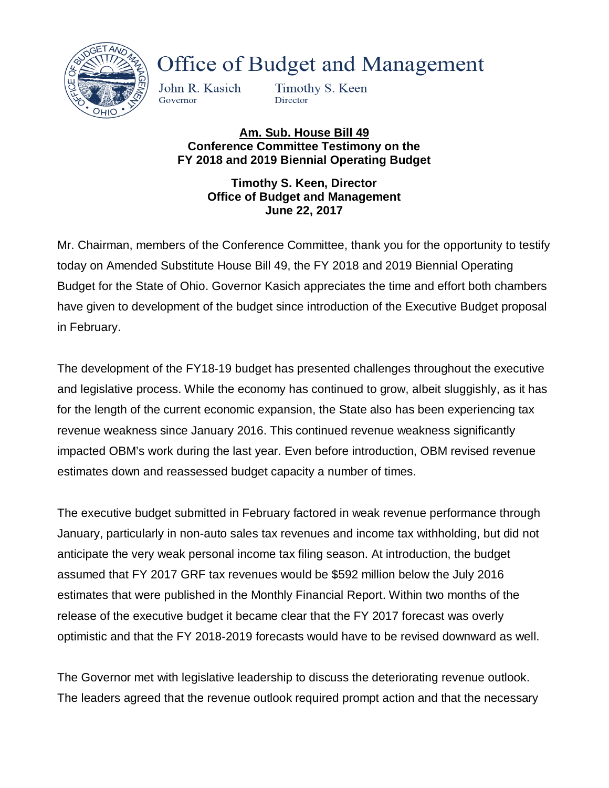

**Office of Budget and Management** 

John R. Kasich Governor

Timothy S. Keen Director

**Am. Sub. House Bill 49 Conference Committee Testimony on the FY 2018 and 2019 Biennial Operating Budget**

> **Timothy S. Keen, Director Office of Budget and Management June 22, 2017**

Mr. Chairman, members of the Conference Committee, thank you for the opportunity to testify today on Amended Substitute House Bill 49, the FY 2018 and 2019 Biennial Operating Budget for the State of Ohio. Governor Kasich appreciates the time and effort both chambers have given to development of the budget since introduction of the Executive Budget proposal in February.

The development of the FY18-19 budget has presented challenges throughout the executive and legislative process. While the economy has continued to grow, albeit sluggishly, as it has for the length of the current economic expansion, the State also has been experiencing tax revenue weakness since January 2016. This continued revenue weakness significantly impacted OBM's work during the last year. Even before introduction, OBM revised revenue estimates down and reassessed budget capacity a number of times.

The executive budget submitted in February factored in weak revenue performance through January, particularly in non-auto sales tax revenues and income tax withholding, but did not anticipate the very weak personal income tax filing season. At introduction, the budget assumed that FY 2017 GRF tax revenues would be \$592 million below the July 2016 estimates that were published in the Monthly Financial Report. Within two months of the release of the executive budget it became clear that the FY 2017 forecast was overly optimistic and that the FY 2018-2019 forecasts would have to be revised downward as well.

The Governor met with legislative leadership to discuss the deteriorating revenue outlook. The leaders agreed that the revenue outlook required prompt action and that the necessary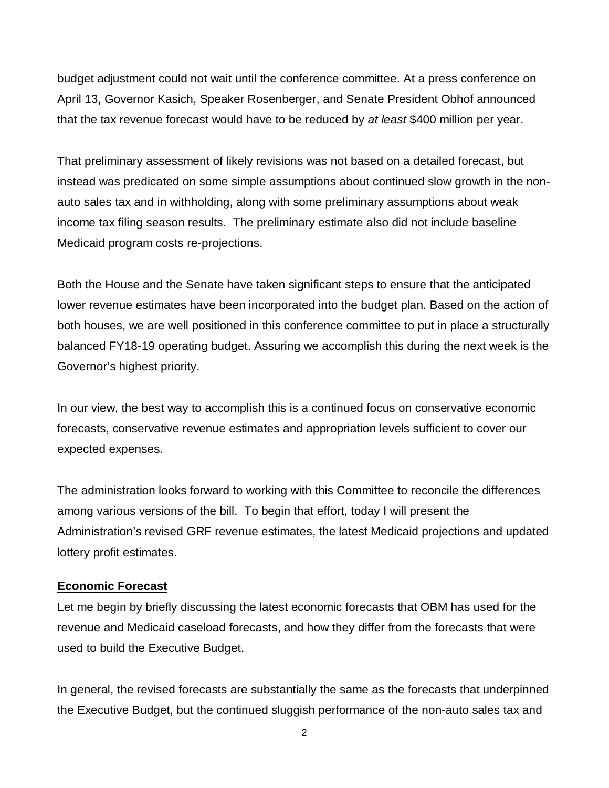budget adjustment could not wait until the conference committee. At a press conference on April 13, Governor Kasich, Speaker Rosenberger, and Senate President Obhof announced that the tax revenue forecast would have to be reduced by *at least* \$400 million per year.

That preliminary assessment of likely revisions was not based on a detailed forecast, but instead was predicated on some simple assumptions about continued slow growth in the nonauto sales tax and in withholding, along with some preliminary assumptions about weak income tax filing season results. The preliminary estimate also did not include baseline Medicaid program costs re-projections.

Both the House and the Senate have taken significant steps to ensure that the anticipated lower revenue estimates have been incorporated into the budget plan. Based on the action of both houses, we are well positioned in this conference committee to put in place a structurally balanced FY18-19 operating budget. Assuring we accomplish this during the next week is the Governor's highest priority.

In our view, the best way to accomplish this is a continued focus on conservative economic forecasts, conservative revenue estimates and appropriation levels sufficient to cover our expected expenses.

The administration looks forward to working with this Committee to reconcile the differences among various versions of the bill. To begin that effort, today I will present the Administration's revised GRF revenue estimates, the latest Medicaid projections and updated lottery profit estimates.

#### **Economic Forecast**

Let me begin by briefly discussing the latest economic forecasts that OBM has used for the revenue and Medicaid caseload forecasts, and how they differ from the forecasts that were used to build the Executive Budget.

In general, the revised forecasts are substantially the same as the forecasts that underpinned the Executive Budget, but the continued sluggish performance of the non-auto sales tax and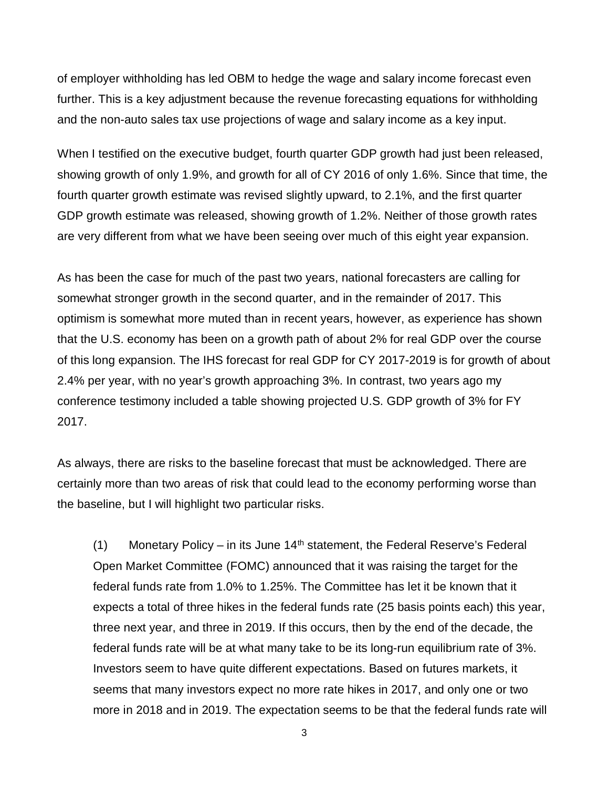of employer withholding has led OBM to hedge the wage and salary income forecast even further. This is a key adjustment because the revenue forecasting equations for withholding and the non-auto sales tax use projections of wage and salary income as a key input.

When I testified on the executive budget, fourth quarter GDP growth had just been released, showing growth of only 1.9%, and growth for all of CY 2016 of only 1.6%. Since that time, the fourth quarter growth estimate was revised slightly upward, to 2.1%, and the first quarter GDP growth estimate was released, showing growth of 1.2%. Neither of those growth rates are very different from what we have been seeing over much of this eight year expansion.

As has been the case for much of the past two years, national forecasters are calling for somewhat stronger growth in the second quarter, and in the remainder of 2017. This optimism is somewhat more muted than in recent years, however, as experience has shown that the U.S. economy has been on a growth path of about 2% for real GDP over the course of this long expansion. The IHS forecast for real GDP for CY 2017-2019 is for growth of about 2.4% per year, with no year's growth approaching 3%. In contrast, two years ago my conference testimony included a table showing projected U.S. GDP growth of 3% for FY 2017.

As always, there are risks to the baseline forecast that must be acknowledged. There are certainly more than two areas of risk that could lead to the economy performing worse than the baseline, but I will highlight two particular risks.

(1) Monetary Policy – in its June  $14<sup>th</sup>$  statement, the Federal Reserve's Federal Open Market Committee (FOMC) announced that it was raising the target for the federal funds rate from 1.0% to 1.25%. The Committee has let it be known that it expects a total of three hikes in the federal funds rate (25 basis points each) this year, three next year, and three in 2019. If this occurs, then by the end of the decade, the federal funds rate will be at what many take to be its long-run equilibrium rate of 3%. Investors seem to have quite different expectations. Based on futures markets, it seems that many investors expect no more rate hikes in 2017, and only one or two more in 2018 and in 2019. The expectation seems to be that the federal funds rate will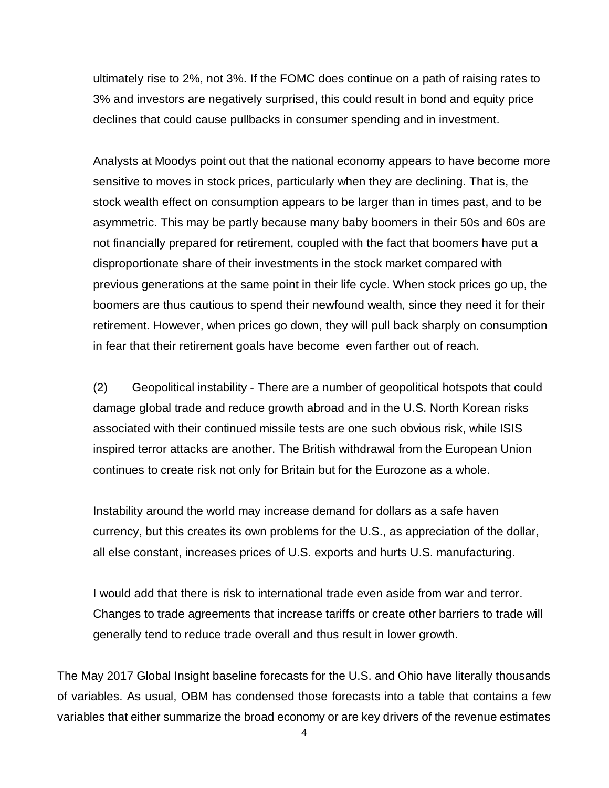ultimately rise to 2%, not 3%. If the FOMC does continue on a path of raising rates to 3% and investors are negatively surprised, this could result in bond and equity price declines that could cause pullbacks in consumer spending and in investment.

Analysts at Moodys point out that the national economy appears to have become more sensitive to moves in stock prices, particularly when they are declining. That is, the stock wealth effect on consumption appears to be larger than in times past, and to be asymmetric. This may be partly because many baby boomers in their 50s and 60s are not financially prepared for retirement, coupled with the fact that boomers have put a disproportionate share of their investments in the stock market compared with previous generations at the same point in their life cycle. When stock prices go up, the boomers are thus cautious to spend their newfound wealth, since they need it for their retirement. However, when prices go down, they will pull back sharply on consumption in fear that their retirement goals have become even farther out of reach.

(2) Geopolitical instability - There are a number of geopolitical hotspots that could damage global trade and reduce growth abroad and in the U.S. North Korean risks associated with their continued missile tests are one such obvious risk, while ISIS inspired terror attacks are another. The British withdrawal from the European Union continues to create risk not only for Britain but for the Eurozone as a whole.

Instability around the world may increase demand for dollars as a safe haven currency, but this creates its own problems for the U.S., as appreciation of the dollar, all else constant, increases prices of U.S. exports and hurts U.S. manufacturing.

I would add that there is risk to international trade even aside from war and terror. Changes to trade agreements that increase tariffs or create other barriers to trade will generally tend to reduce trade overall and thus result in lower growth.

The May 2017 Global Insight baseline forecasts for the U.S. and Ohio have literally thousands of variables. As usual, OBM has condensed those forecasts into a table that contains a few variables that either summarize the broad economy or are key drivers of the revenue estimates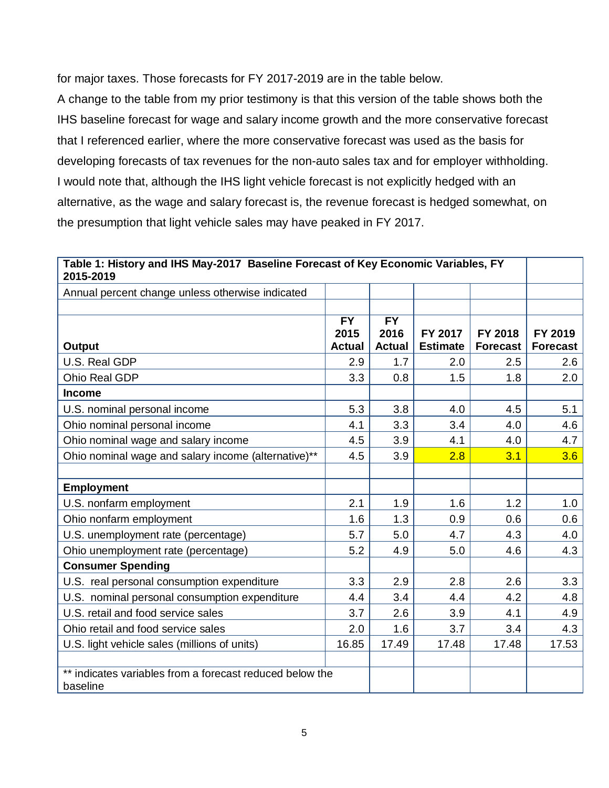for major taxes. Those forecasts for FY 2017-2019 are in the table below.

A change to the table from my prior testimony is that this version of the table shows both the IHS baseline forecast for wage and salary income growth and the more conservative forecast that I referenced earlier, where the more conservative forecast was used as the basis for developing forecasts of tax revenues for the non-auto sales tax and for employer withholding. I would note that, although the IHS light vehicle forecast is not explicitly hedged with an alternative, as the wage and salary forecast is, the revenue forecast is hedged somewhat, on the presumption that light vehicle sales may have peaked in FY 2017.

| Table 1: History and IHS May-2017 Baseline Forecast of Key Economic Variables, FY<br>2015-2019 |                   |                   |                 |                 |                 |  |
|------------------------------------------------------------------------------------------------|-------------------|-------------------|-----------------|-----------------|-----------------|--|
| Annual percent change unless otherwise indicated                                               |                   |                   |                 |                 |                 |  |
|                                                                                                |                   |                   |                 |                 |                 |  |
|                                                                                                | <b>FY</b><br>2015 | <b>FY</b><br>2016 | FY 2017         | FY 2018         | FY 2019         |  |
| Output                                                                                         | <b>Actual</b>     | <b>Actual</b>     | <b>Estimate</b> | <b>Forecast</b> | <b>Forecast</b> |  |
| U.S. Real GDP                                                                                  | 2.9               | 1.7               | 2.0             | 2.5             | 2.6             |  |
| Ohio Real GDP                                                                                  | 3.3               | 0.8               | 1.5             | 1.8             | 2.0             |  |
| <b>Income</b>                                                                                  |                   |                   |                 |                 |                 |  |
| U.S. nominal personal income                                                                   | 5.3               | 3.8               | 4.0             | 4.5             | 5.1             |  |
| Ohio nominal personal income                                                                   | 4.1               | 3.3               | 3.4             | 4.0             | 4.6             |  |
| Ohio nominal wage and salary income                                                            | 4.5               | 3.9               | 4.1             | 4.0             | 4.7             |  |
| Ohio nominal wage and salary income (alternative)**                                            | 4.5               | 3.9               | 2.8             | 3.1             | 3.6             |  |
|                                                                                                |                   |                   |                 |                 |                 |  |
| <b>Employment</b>                                                                              |                   |                   |                 |                 |                 |  |
| U.S. nonfarm employment                                                                        | 2.1               | 1.9               | 1.6             | 1.2             | 1.0             |  |
| Ohio nonfarm employment                                                                        | 1.6               | 1.3               | 0.9             | 0.6             | 0.6             |  |
| U.S. unemployment rate (percentage)                                                            | 5.7               | 5.0               | 4.7             | 4.3             | 4.0             |  |
| Ohio unemployment rate (percentage)                                                            | 5.2               | 4.9               | 5.0             | 4.6             | 4.3             |  |
| <b>Consumer Spending</b>                                                                       |                   |                   |                 |                 |                 |  |
| U.S. real personal consumption expenditure                                                     | 3.3               | 2.9               | 2.8             | 2.6             | 3.3             |  |
| U.S. nominal personal consumption expenditure                                                  | 4.4               | 3.4               | 4.4             | 4.2             | 4.8             |  |
| U.S. retail and food service sales                                                             | 3.7               | 2.6               | 3.9             | 4.1             | 4.9             |  |
| Ohio retail and food service sales                                                             | 2.0               | 1.6               | 3.7             | 3.4             | 4.3             |  |
| U.S. light vehicle sales (millions of units)                                                   | 16.85             | 17.49             | 17.48           | 17.48           | 17.53           |  |
|                                                                                                |                   |                   |                 |                 |                 |  |
| ** indicates variables from a forecast reduced below the                                       |                   |                   |                 |                 |                 |  |
| baseline                                                                                       |                   |                   |                 |                 |                 |  |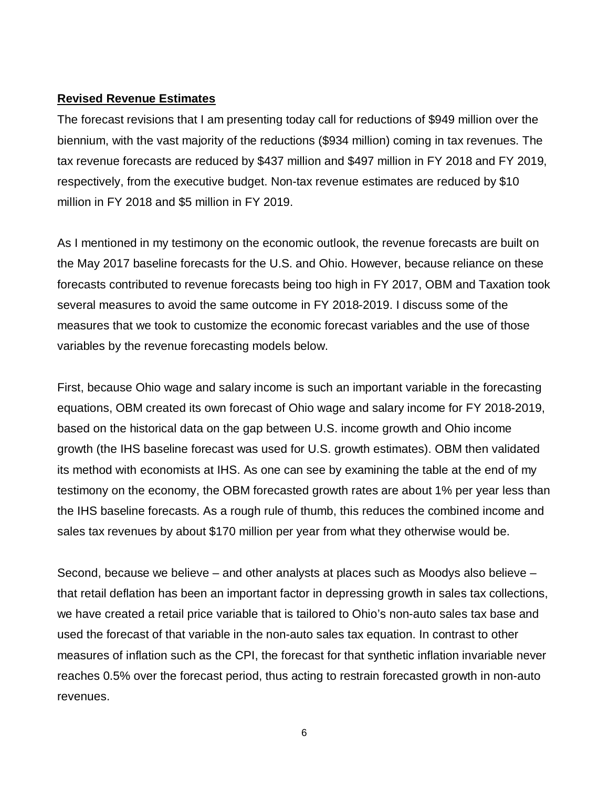#### **Revised Revenue Estimates**

The forecast revisions that I am presenting today call for reductions of \$949 million over the biennium, with the vast majority of the reductions (\$934 million) coming in tax revenues. The tax revenue forecasts are reduced by \$437 million and \$497 million in FY 2018 and FY 2019, respectively, from the executive budget. Non-tax revenue estimates are reduced by \$10 million in FY 2018 and \$5 million in FY 2019.

As I mentioned in my testimony on the economic outlook, the revenue forecasts are built on the May 2017 baseline forecasts for the U.S. and Ohio. However, because reliance on these forecasts contributed to revenue forecasts being too high in FY 2017, OBM and Taxation took several measures to avoid the same outcome in FY 2018-2019. I discuss some of the measures that we took to customize the economic forecast variables and the use of those variables by the revenue forecasting models below.

First, because Ohio wage and salary income is such an important variable in the forecasting equations, OBM created its own forecast of Ohio wage and salary income for FY 2018-2019, based on the historical data on the gap between U.S. income growth and Ohio income growth (the IHS baseline forecast was used for U.S. growth estimates). OBM then validated its method with economists at IHS. As one can see by examining the table at the end of my testimony on the economy, the OBM forecasted growth rates are about 1% per year less than the IHS baseline forecasts. As a rough rule of thumb, this reduces the combined income and sales tax revenues by about \$170 million per year from what they otherwise would be.

Second, because we believe – and other analysts at places such as Moodys also believe – that retail deflation has been an important factor in depressing growth in sales tax collections, we have created a retail price variable that is tailored to Ohio's non-auto sales tax base and used the forecast of that variable in the non-auto sales tax equation. In contrast to other measures of inflation such as the CPI, the forecast for that synthetic inflation invariable never reaches 0.5% over the forecast period, thus acting to restrain forecasted growth in non-auto revenues.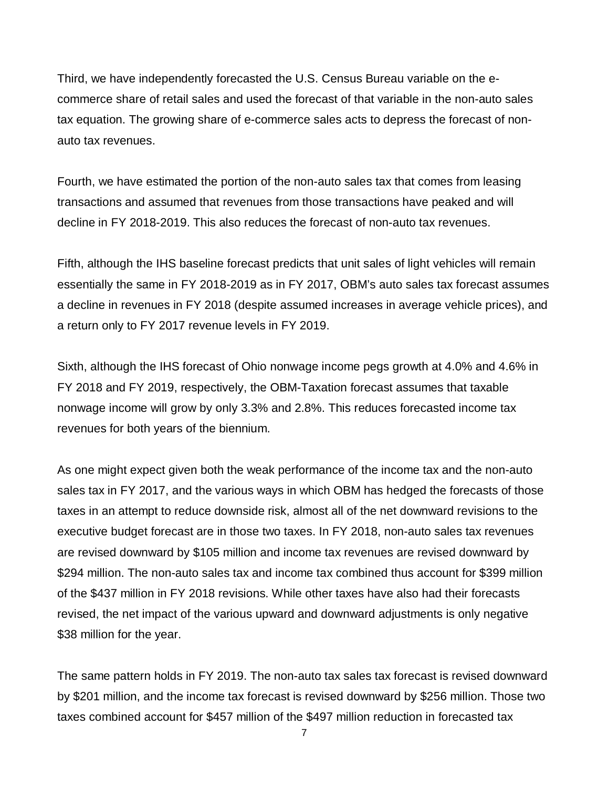Third, we have independently forecasted the U.S. Census Bureau variable on the ecommerce share of retail sales and used the forecast of that variable in the non-auto sales tax equation. The growing share of e-commerce sales acts to depress the forecast of nonauto tax revenues.

Fourth, we have estimated the portion of the non-auto sales tax that comes from leasing transactions and assumed that revenues from those transactions have peaked and will decline in FY 2018-2019. This also reduces the forecast of non-auto tax revenues.

Fifth, although the IHS baseline forecast predicts that unit sales of light vehicles will remain essentially the same in FY 2018-2019 as in FY 2017, OBM's auto sales tax forecast assumes a decline in revenues in FY 2018 (despite assumed increases in average vehicle prices), and a return only to FY 2017 revenue levels in FY 2019.

Sixth, although the IHS forecast of Ohio nonwage income pegs growth at 4.0% and 4.6% in FY 2018 and FY 2019, respectively, the OBM-Taxation forecast assumes that taxable nonwage income will grow by only 3.3% and 2.8%. This reduces forecasted income tax revenues for both years of the biennium.

As one might expect given both the weak performance of the income tax and the non-auto sales tax in FY 2017, and the various ways in which OBM has hedged the forecasts of those taxes in an attempt to reduce downside risk, almost all of the net downward revisions to the executive budget forecast are in those two taxes. In FY 2018, non-auto sales tax revenues are revised downward by \$105 million and income tax revenues are revised downward by \$294 million. The non-auto sales tax and income tax combined thus account for \$399 million of the \$437 million in FY 2018 revisions. While other taxes have also had their forecasts revised, the net impact of the various upward and downward adjustments is only negative \$38 million for the year.

The same pattern holds in FY 2019. The non-auto tax sales tax forecast is revised downward by \$201 million, and the income tax forecast is revised downward by \$256 million. Those two taxes combined account for \$457 million of the \$497 million reduction in forecasted tax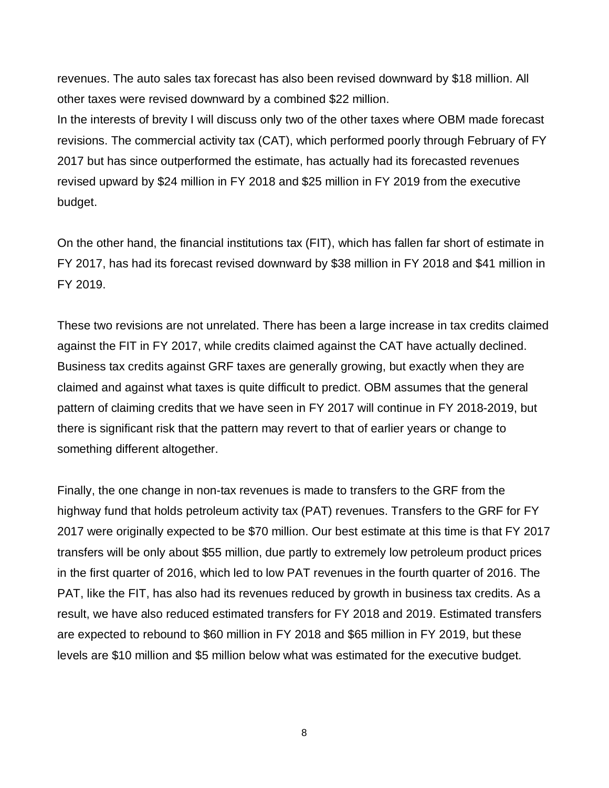revenues. The auto sales tax forecast has also been revised downward by \$18 million. All other taxes were revised downward by a combined \$22 million.

In the interests of brevity I will discuss only two of the other taxes where OBM made forecast revisions. The commercial activity tax (CAT), which performed poorly through February of FY 2017 but has since outperformed the estimate, has actually had its forecasted revenues revised upward by \$24 million in FY 2018 and \$25 million in FY 2019 from the executive budget.

On the other hand, the financial institutions tax (FIT), which has fallen far short of estimate in FY 2017, has had its forecast revised downward by \$38 million in FY 2018 and \$41 million in FY 2019.

These two revisions are not unrelated. There has been a large increase in tax credits claimed against the FIT in FY 2017, while credits claimed against the CAT have actually declined. Business tax credits against GRF taxes are generally growing, but exactly when they are claimed and against what taxes is quite difficult to predict. OBM assumes that the general pattern of claiming credits that we have seen in FY 2017 will continue in FY 2018-2019, but there is significant risk that the pattern may revert to that of earlier years or change to something different altogether.

Finally, the one change in non-tax revenues is made to transfers to the GRF from the highway fund that holds petroleum activity tax (PAT) revenues. Transfers to the GRF for FY 2017 were originally expected to be \$70 million. Our best estimate at this time is that FY 2017 transfers will be only about \$55 million, due partly to extremely low petroleum product prices in the first quarter of 2016, which led to low PAT revenues in the fourth quarter of 2016. The PAT, like the FIT, has also had its revenues reduced by growth in business tax credits. As a result, we have also reduced estimated transfers for FY 2018 and 2019. Estimated transfers are expected to rebound to \$60 million in FY 2018 and \$65 million in FY 2019, but these levels are \$10 million and \$5 million below what was estimated for the executive budget.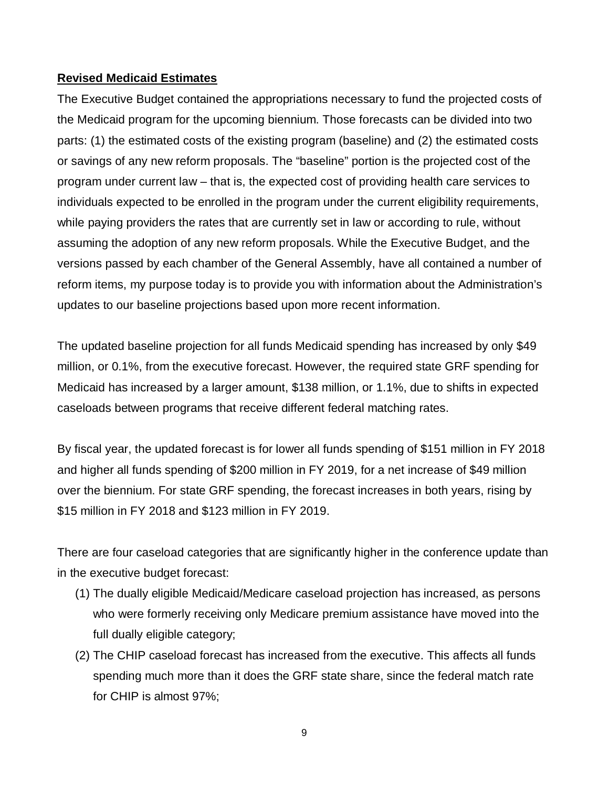## **Revised Medicaid Estimates**

The Executive Budget contained the appropriations necessary to fund the projected costs of the Medicaid program for the upcoming biennium. Those forecasts can be divided into two parts: (1) the estimated costs of the existing program (baseline) and (2) the estimated costs or savings of any new reform proposals. The "baseline" portion is the projected cost of the program under current law – that is, the expected cost of providing health care services to individuals expected to be enrolled in the program under the current eligibility requirements, while paying providers the rates that are currently set in law or according to rule, without assuming the adoption of any new reform proposals. While the Executive Budget, and the versions passed by each chamber of the General Assembly, have all contained a number of reform items, my purpose today is to provide you with information about the Administration's updates to our baseline projections based upon more recent information.

The updated baseline projection for all funds Medicaid spending has increased by only \$49 million, or 0.1%, from the executive forecast. However, the required state GRF spending for Medicaid has increased by a larger amount, \$138 million, or 1.1%, due to shifts in expected caseloads between programs that receive different federal matching rates.

By fiscal year, the updated forecast is for lower all funds spending of \$151 million in FY 2018 and higher all funds spending of \$200 million in FY 2019, for a net increase of \$49 million over the biennium. For state GRF spending, the forecast increases in both years, rising by \$15 million in FY 2018 and \$123 million in FY 2019.

There are four caseload categories that are significantly higher in the conference update than in the executive budget forecast:

- (1) The dually eligible Medicaid/Medicare caseload projection has increased, as persons who were formerly receiving only Medicare premium assistance have moved into the full dually eligible category;
- (2) The CHIP caseload forecast has increased from the executive. This affects all funds spending much more than it does the GRF state share, since the federal match rate for CHIP is almost 97%;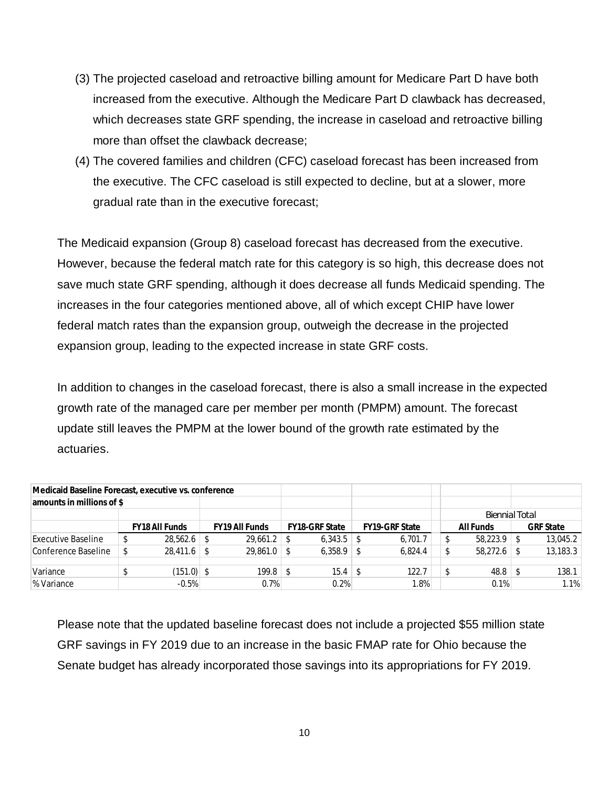- (3) The projected caseload and retroactive billing amount for Medicare Part D have both increased from the executive. Although the Medicare Part D clawback has decreased, which decreases state GRF spending, the increase in caseload and retroactive billing more than offset the clawback decrease;
- (4) The covered families and children (CFC) caseload forecast has been increased from the executive. The CFC caseload is still expected to decline, but at a slower, more gradual rate than in the executive forecast;

The Medicaid expansion (Group 8) caseload forecast has decreased from the executive. However, because the federal match rate for this category is so high, this decrease does not save much state GRF spending, although it does decrease all funds Medicaid spending. The increases in the four categories mentioned above, all of which except CHIP have lower federal match rates than the expansion group, outweigh the decrease in the projected expansion group, leading to the expected increase in state GRF costs.

In addition to changes in the caseload forecast, there is also a small increase in the expected growth rate of the managed care per member per month (PMPM) amount. The forecast update still leaves the PMPM at the lower bound of the growth rate estimated by the actuaries.

| Medicaid Baseline Forecast, executive vs. conference |  |                |                       |    |                |                       |  |           |     |                  |
|------------------------------------------------------|--|----------------|-----------------------|----|----------------|-----------------------|--|-----------|-----|------------------|
| amounts in millions of \$                            |  |                |                       |    |                |                       |  |           |     |                  |
|                                                      |  |                |                       |    |                | <b>Biennial Total</b> |  |           |     |                  |
|                                                      |  | FY18 All Funds | <b>FY19 All Funds</b> |    | FY18-GRF State | <b>FY19-GRF State</b> |  | All Funds |     | <b>GRF State</b> |
| <b>Executive Baseline</b>                            |  |                | $29.661.2$ \$         |    | $6,343.5$ \\$  | 6,701.7               |  | 58,223.9  |     | 13,045.2         |
| Conference Baseline                                  |  | $28.411.6$ \$  | $29,861.0$ \$         |    | $6,358.9$ \\$  | 6.824.4               |  | 58,272.6  |     | 13,183.3         |
|                                                      |  |                |                       |    |                |                       |  |           |     |                  |
| Variance                                             |  | $(151.0)$ \$   | 199.8                 | -S |                | 122.7                 |  | 48.8      | - 5 | 138.1            |
| % Variance                                           |  | $-0.5%$        | 0.7%                  |    | 0.2%           | 1.8%                  |  | 0.1%      |     | 1.1%             |
|                                                      |  |                |                       |    |                |                       |  |           |     |                  |

Please note that the updated baseline forecast does not include a projected \$55 million state GRF savings in FY 2019 due to an increase in the basic FMAP rate for Ohio because the Senate budget has already incorporated those savings into its appropriations for FY 2019.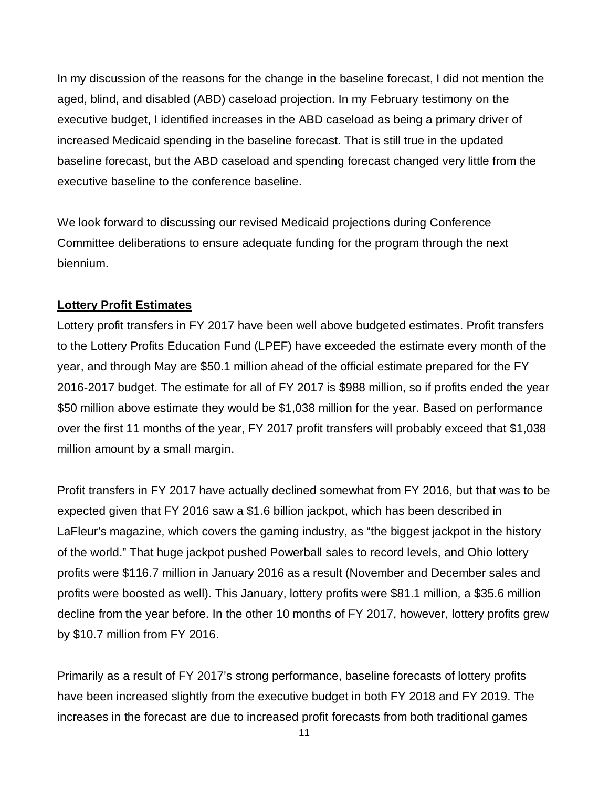In my discussion of the reasons for the change in the baseline forecast, I did not mention the aged, blind, and disabled (ABD) caseload projection. In my February testimony on the executive budget, I identified increases in the ABD caseload as being a primary driver of increased Medicaid spending in the baseline forecast. That is still true in the updated baseline forecast, but the ABD caseload and spending forecast changed very little from the executive baseline to the conference baseline.

We look forward to discussing our revised Medicaid projections during Conference Committee deliberations to ensure adequate funding for the program through the next biennium.

## **Lottery Profit Estimates**

Lottery profit transfers in FY 2017 have been well above budgeted estimates. Profit transfers to the Lottery Profits Education Fund (LPEF) have exceeded the estimate every month of the year, and through May are \$50.1 million ahead of the official estimate prepared for the FY 2016-2017 budget. The estimate for all of FY 2017 is \$988 million, so if profits ended the year \$50 million above estimate they would be \$1,038 million for the year. Based on performance over the first 11 months of the year, FY 2017 profit transfers will probably exceed that \$1,038 million amount by a small margin.

Profit transfers in FY 2017 have actually declined somewhat from FY 2016, but that was to be expected given that FY 2016 saw a \$1.6 billion jackpot, which has been described in LaFleur's magazine, which covers the gaming industry, as "the biggest jackpot in the history of the world." That huge jackpot pushed Powerball sales to record levels, and Ohio lottery profits were \$116.7 million in January 2016 as a result (November and December sales and profits were boosted as well). This January, lottery profits were \$81.1 million, a \$35.6 million decline from the year before. In the other 10 months of FY 2017, however, lottery profits grew by \$10.7 million from FY 2016.

Primarily as a result of FY 2017's strong performance, baseline forecasts of lottery profits have been increased slightly from the executive budget in both FY 2018 and FY 2019. The increases in the forecast are due to increased profit forecasts from both traditional games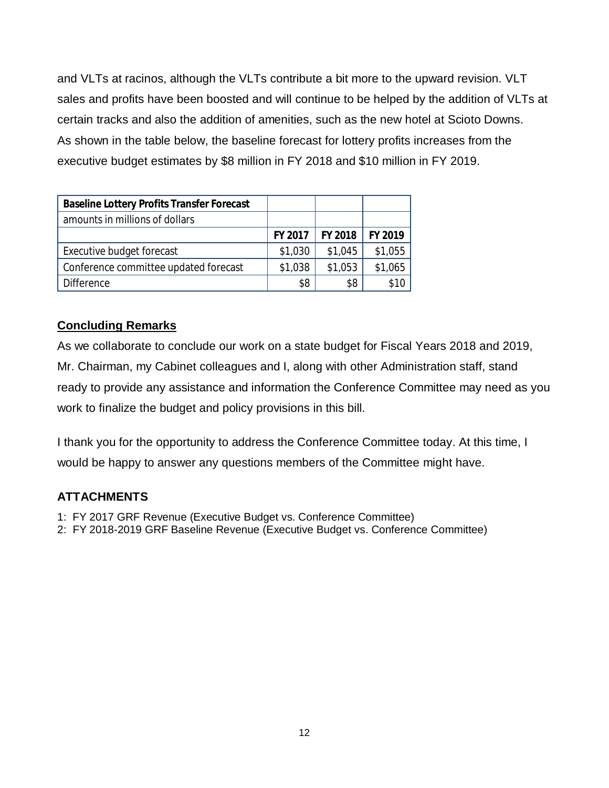and VLTs at racinos, although the VLTs contribute a bit more to the upward revision. VLT sales and profits have been boosted and will continue to be helped by the addition of VLTs at certain tracks and also the addition of amenities, such as the new hotel at Scioto Downs. As shown in the table below, the baseline forecast for lottery profits increases from the executive budget estimates by \$8 million in FY 2018 and \$10 million in FY 2019.

| Baseline Lottery Profits Transfer Forecast |         |         |         |
|--------------------------------------------|---------|---------|---------|
| amounts in millions of dollars             |         |         |         |
|                                            | FY 2017 | FY 2018 | FY 2019 |
| Executive budget forecast                  | \$1,030 | \$1,045 | \$1,055 |
| Conference committee updated forecast      | \$1,038 | \$1,053 | \$1,065 |
| <b>Difference</b>                          | \$8     | \$8     |         |

## **Concluding Remarks**

As we collaborate to conclude our work on a state budget for Fiscal Years 2018 and 2019, Mr. Chairman, my Cabinet colleagues and I, along with other Administration staff, stand ready to provide any assistance and information the Conference Committee may need as you work to finalize the budget and policy provisions in this bill.

I thank you for the opportunity to address the Conference Committee today. At this time, I would be happy to answer any questions members of the Committee might have.

# **ATTACHMENTS**

- 1: FY 2017 GRF Revenue (Executive Budget vs. Conference Committee)
- 2: FY 2018-2019 GRF Baseline Revenue (Executive Budget vs. Conference Committee)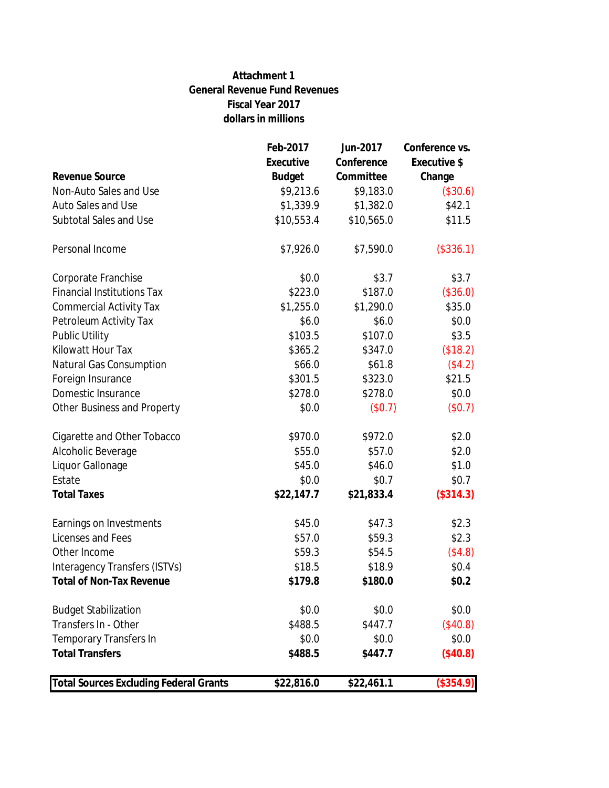### **Attachment 1 General Revenue Fund Revenues Fiscal Year 2017 dollars in millions**

| <b>Total Sources Excluding Federal Grants</b>       | \$22,816.0       | \$22,461.1       | (\$354.9)           |
|-----------------------------------------------------|------------------|------------------|---------------------|
|                                                     |                  |                  |                     |
| <b>Total Transfers</b>                              | \$488.5          | \$447.7          | (\$40.8)            |
| <b>Temporary Transfers In</b>                       | \$0.0            | \$0.0            | \$0.0\$             |
| <b>Budget Stabilization</b><br>Transfers In - Other | \$0.0<br>\$488.5 | \$0.0<br>\$447.7 | \$0.0\$<br>(\$40.8) |
|                                                     |                  |                  |                     |
| <b>Total of Non-Tax Revenue</b>                     | \$179.8          | \$180.0          | \$0.2\$             |
| Interagency Transfers (ISTVs)                       | \$18.5           | \$18.9           | \$0.4\$             |
| Other Income                                        | \$59.3           | \$54.5           | (\$4.8)             |
| Licenses and Fees                                   | \$57.0           | \$59.3           | \$2.3               |
| Earnings on Investments                             | \$45.0           | \$47.3           | \$2.3               |
|                                                     |                  |                  |                     |
| <b>Total Taxes</b>                                  | \$22,147.7       | \$21,833.4       | (\$314.3)           |
| Estate                                              | \$0.0            | \$0.7            | \$0.7               |
| Liquor Gallonage                                    | \$45.0           | \$46.0           | \$1.0               |
| Alcoholic Beverage                                  | \$55.0           | \$57.0           | \$2.0               |
| Cigarette and Other Tobacco                         | \$970.0          | \$972.0          | \$2.0               |
|                                                     |                  |                  |                     |
| Other Business and Property                         | \$0.0            | (\$0.7)          | (\$0.7)             |
| Domestic Insurance                                  | \$278.0          | \$278.0          | \$0.0\$             |
| Foreign Insurance                                   | \$301.5          | \$323.0          | \$21.5              |
| <b>Natural Gas Consumption</b>                      | \$66.0           | \$61.8           | (\$4.2)             |
| Kilowatt Hour Tax                                   | \$365.2          | \$347.0          | (\$18.2)            |
| <b>Public Utility</b>                               | \$103.5          | \$107.0          | \$3.5               |
| Petroleum Activity Tax                              | \$6.0            | \$6.0            | \$0.0\$             |
| <b>Commercial Activity Tax</b>                      | \$1,255.0        | \$1,290.0        | \$35.0              |
| <b>Financial Institutions Tax</b>                   | \$223.0          | \$187.0          | (\$36.0)            |
| Corporate Franchise                                 | \$0.0            | \$3.7            | \$3.7               |
| Personal Income                                     | \$7,926.0        | \$7,590.0        | (\$336.1)           |
| Subtotal Sales and Use                              | \$10,553.4       | \$10,565.0       | \$11.5              |
| <b>Auto Sales and Use</b>                           | \$1,339.9        | \$1,382.0        | \$42.1              |
| Non-Auto Sales and Use                              | \$9,213.6        | \$9,183.0        | (\$30.6)            |
| Revenue Source                                      | <b>Budget</b>    | Committee        | Change              |
|                                                     | Executive        | Conference       | Executive \$        |
|                                                     | Feb-2017         | Jun-2017         | Conference vs.      |